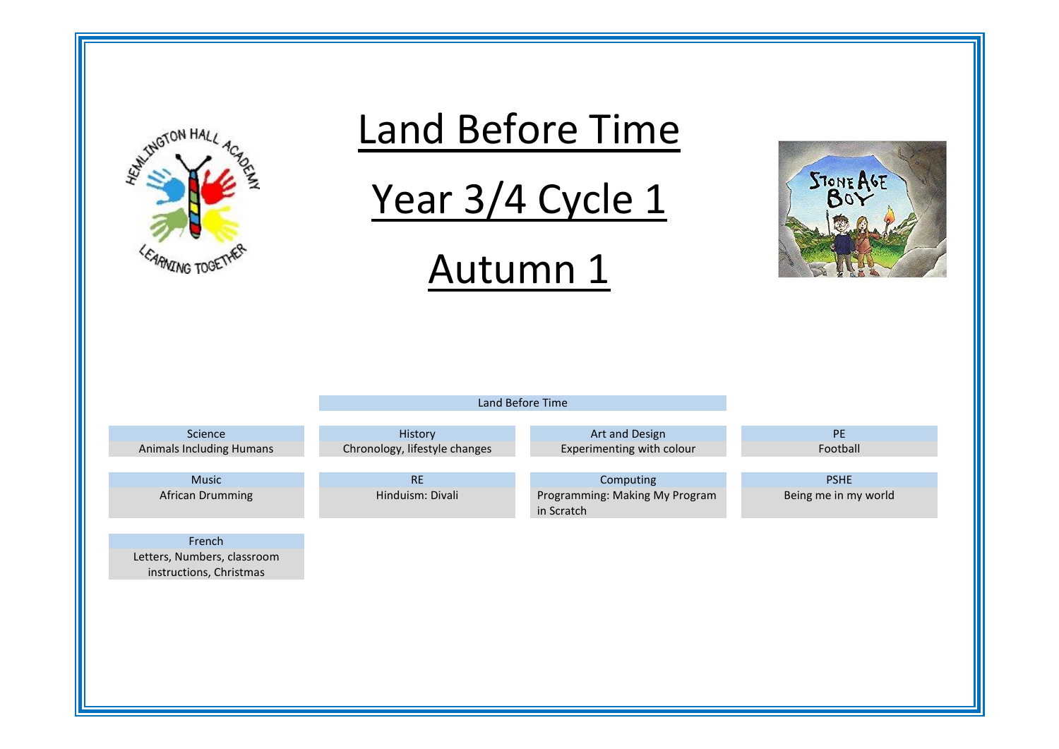



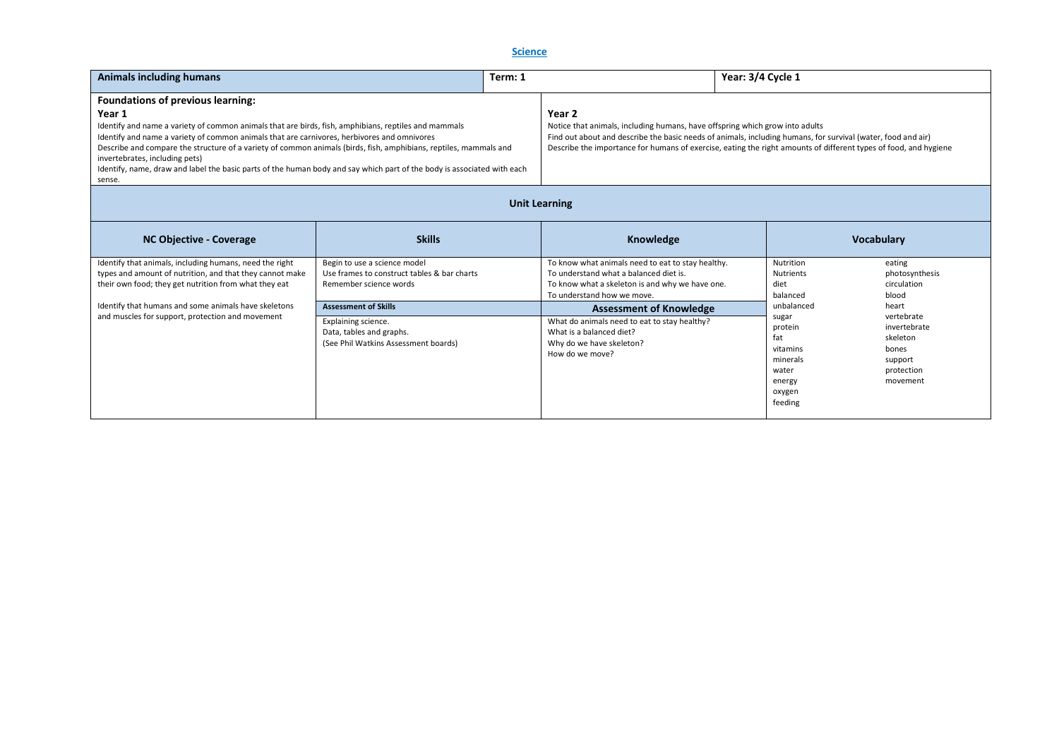**Science** 

| <b>Animals including humans</b><br>Term: 1                                                                                                                                                                                                                                                                                                                                                                                                                                                                 |                                                                                        | Year: 3/4 Cycle 1                                                                                                                                                                                                                |
|------------------------------------------------------------------------------------------------------------------------------------------------------------------------------------------------------------------------------------------------------------------------------------------------------------------------------------------------------------------------------------------------------------------------------------------------------------------------------------------------------------|----------------------------------------------------------------------------------------|----------------------------------------------------------------------------------------------------------------------------------------------------------------------------------------------------------------------------------|
| <b>Foundations of previous learning:</b>                                                                                                                                                                                                                                                                                                                                                                                                                                                                   |                                                                                        |                                                                                                                                                                                                                                  |
| Year 1<br>Identify and name a variety of common animals that are birds, fish, amphibians, reptiles and mammals<br>Identify and name a variety of common animals that are carnivores, herbivores and omnivores<br>Describe and compare the structure of a variety of common animals (birds, fish, amphibians, reptiles, mammals and<br>invertebrates, including pets)<br>I dentify, name, draw and label the basic parts of the human body and say which part of the body is associated with each<br>sense. | Year 2<br>Notice that animals, including humans, have offspring which grow into adults | Find out about and describe the basic needs of animals, including humans, for survival (water, food and air)<br>Describe the importance for humans of exercise, eating the right amounts of different types of food, and hygiene |

# **Unit Learning**

| <b>NC Objective - Coverage</b>                                                                                                                                                                                                                                                           | <b>Skills</b>                                                                                                                                                                                                                   | Knowledge                                                                                                                                                                                                                                                                                                                                 | <b>Vocabulary</b>                                                                                                                                                                                                                                                                                               |  |
|------------------------------------------------------------------------------------------------------------------------------------------------------------------------------------------------------------------------------------------------------------------------------------------|---------------------------------------------------------------------------------------------------------------------------------------------------------------------------------------------------------------------------------|-------------------------------------------------------------------------------------------------------------------------------------------------------------------------------------------------------------------------------------------------------------------------------------------------------------------------------------------|-----------------------------------------------------------------------------------------------------------------------------------------------------------------------------------------------------------------------------------------------------------------------------------------------------------------|--|
| Identify that animals, including humans, need the right<br>types and amount of nutrition, and that they cannot make<br>their own food; they get nutrition from what they eat<br>Identify that humans and some animals have skeletons<br>and muscles for support, protection and movement | Begin to use a science model<br>Use frames to construct tables & bar charts<br>Remember science words<br><b>Assessment of Skills</b><br>Explaining science.<br>Data, tables and graphs.<br>(See Phil Watkins Assessment boards) | To know what animals need to eat to stay healthy.<br>To understand what a balanced diet is.<br>To know what a skeleton is and why we have one.<br>To understand how we move.<br><b>Assessment of Knowledge</b><br>What do animals need to eat to stay healthy?<br>What is a balanced diet?<br>Why do we have skeleton?<br>How do we move? | Nutrition<br>eating<br>photosynthesis<br><b>Nutrients</b><br>diet<br>circulation<br>balanced<br>blood<br>unbalanced<br>heart<br>vertebrate<br>sugar<br>invertebrate<br>protein<br>fat<br>skeleton<br>vitamins<br>bones<br>minerals<br>support<br>water<br>protection<br>movement<br>energy<br>oxygen<br>feeding |  |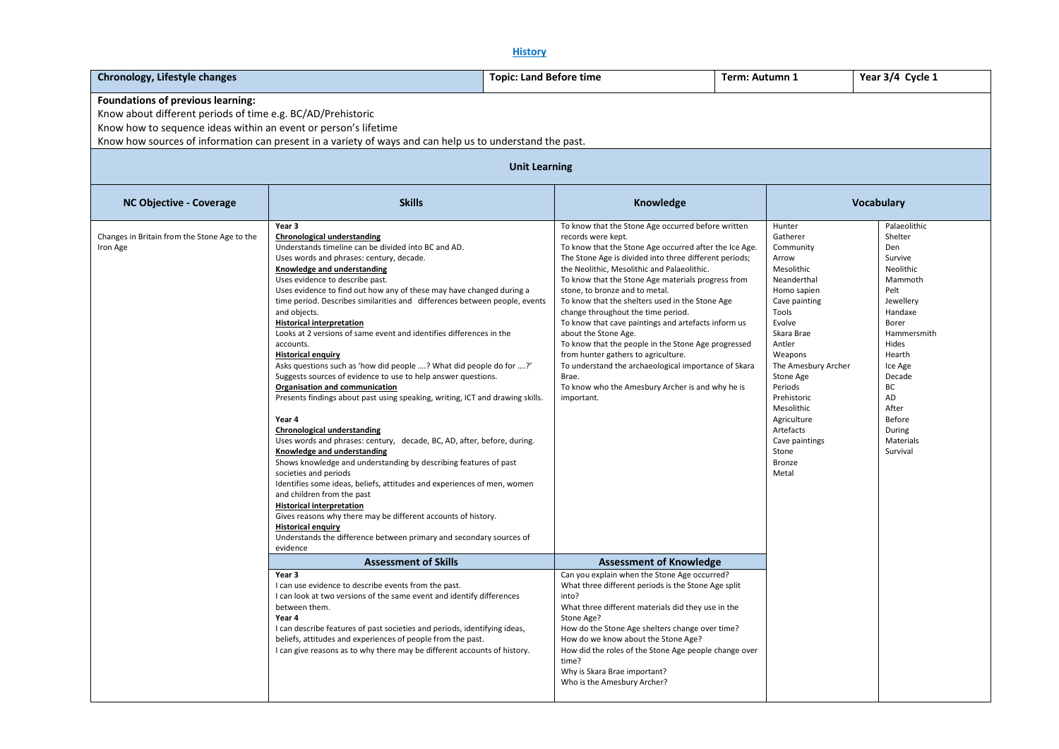**History**

| Chronology, Lifestyle changes                                                                                                                                                                                                                                                                           |                                                                                                                                                                                                                                                                                                                                                                                                                                                                                                                                                                                                                                                                                                                                                                                                                                                                                                                                                                                                                                                                                                                                                                                                                                                                                                                                                                                             | <b>Topic: Land Before time</b> |                                                                                                                                                                                                                                                                                                                                                                                                                                                                                                                                                                                                                                                                                                                       | Term: Autumn 1 |                                                                                                                                                                                                                                                                                                                          | Year 3/4 Cycle 1                                                                                                                                                                                                                    |
|---------------------------------------------------------------------------------------------------------------------------------------------------------------------------------------------------------------------------------------------------------------------------------------------------------|---------------------------------------------------------------------------------------------------------------------------------------------------------------------------------------------------------------------------------------------------------------------------------------------------------------------------------------------------------------------------------------------------------------------------------------------------------------------------------------------------------------------------------------------------------------------------------------------------------------------------------------------------------------------------------------------------------------------------------------------------------------------------------------------------------------------------------------------------------------------------------------------------------------------------------------------------------------------------------------------------------------------------------------------------------------------------------------------------------------------------------------------------------------------------------------------------------------------------------------------------------------------------------------------------------------------------------------------------------------------------------------------|--------------------------------|-----------------------------------------------------------------------------------------------------------------------------------------------------------------------------------------------------------------------------------------------------------------------------------------------------------------------------------------------------------------------------------------------------------------------------------------------------------------------------------------------------------------------------------------------------------------------------------------------------------------------------------------------------------------------------------------------------------------------|----------------|--------------------------------------------------------------------------------------------------------------------------------------------------------------------------------------------------------------------------------------------------------------------------------------------------------------------------|-------------------------------------------------------------------------------------------------------------------------------------------------------------------------------------------------------------------------------------|
| Foundations of previous learning:<br>Know about different periods of time e.g. BC/AD/Prehistoric<br>Know how to sequence ideas within an event or person's lifetime<br>Know how sources of information can present in a variety of ways and can help us to understand the past.<br><b>Unit Learning</b> |                                                                                                                                                                                                                                                                                                                                                                                                                                                                                                                                                                                                                                                                                                                                                                                                                                                                                                                                                                                                                                                                                                                                                                                                                                                                                                                                                                                             |                                |                                                                                                                                                                                                                                                                                                                                                                                                                                                                                                                                                                                                                                                                                                                       |                |                                                                                                                                                                                                                                                                                                                          |                                                                                                                                                                                                                                     |
| <b>NC Objective - Coverage</b>                                                                                                                                                                                                                                                                          | <b>Skills</b><br>Knowledge                                                                                                                                                                                                                                                                                                                                                                                                                                                                                                                                                                                                                                                                                                                                                                                                                                                                                                                                                                                                                                                                                                                                                                                                                                                                                                                                                                  |                                |                                                                                                                                                                                                                                                                                                                                                                                                                                                                                                                                                                                                                                                                                                                       |                |                                                                                                                                                                                                                                                                                                                          | <b>Vocabulary</b>                                                                                                                                                                                                                   |
| Changes in Britain from the Stone Age to the<br>Iron Age                                                                                                                                                                                                                                                | Year 3<br><b>Chronological understanding</b><br>Understands timeline can be divided into BC and AD.<br>Uses words and phrases: century, decade.<br>Knowledge and understanding<br>Uses evidence to describe past.<br>Uses evidence to find out how any of these may have changed during a<br>time period. Describes similarities and differences between people, events<br>and objects.<br><b>Historical interpretation</b><br>Looks at 2 versions of same event and identifies differences in the<br>accounts.<br><b>Historical enquiry</b><br>Asks questions such as 'how did people ? What did people do for ?'<br>Suggests sources of evidence to use to help answer questions.<br>Organisation and communication<br>Presents findings about past using speaking, writing, ICT and drawing skills.<br>Year 4<br><b>Chronological understanding</b><br>Uses words and phrases: century, decade, BC, AD, after, before, during.<br>Knowledge and understanding<br>Shows knowledge and understanding by describing features of past<br>societies and periods<br>Identifies some ideas, beliefs, attitudes and experiences of men, women<br>and children from the past<br><b>Historical interpretation</b><br>Gives reasons why there may be different accounts of history.<br><b>Historical enquiry</b><br>Understands the difference between primary and secondary sources of<br>evidence | Brae.<br>important.            | To know that the Stone Age occurred before written<br>records were kept.<br>To know that the Stone Age occurred after the Ice Age.<br>The Stone Age is divided into three different periods;<br>the Neolithic, Mesolithic and Palaeolithic.<br>To know that the Stone Age materials progress from<br>stone, to bronze and to metal.<br>To know that the shelters used in the Stone Age<br>change throughout the time period.<br>To know that cave paintings and artefacts inform us<br>about the Stone Age.<br>To know that the people in the Stone Age progressed<br>from hunter gathers to agriculture.<br>To understand the archaeological importance of Skara<br>To know who the Amesbury Archer is and why he is |                | Hunter<br>Gatherer<br>Community<br>Arrow<br>Mesolithic<br>Neanderthal<br>Homo sapien<br>Cave painting<br>Tools<br>Evolve<br>Skara Brae<br>Antler<br>Weapons<br>The Amesbury Archer<br>Stone Age<br>Periods<br>Prehistoric<br>Mesolithic<br>Agriculture<br>Artefacts<br>Cave paintings<br>Stone<br><b>Bronze</b><br>Metal | Palaeolithic<br>Shelter<br>Den<br>Survive<br>Neolithic<br>Mammoth<br>Pelt<br>Jewellery<br>Handaxe<br>Borer<br>Hammersmith<br>Hides<br>Hearth<br>Ice Age<br>Decade<br>BC<br>AD<br>After<br>Before<br>During<br>Materials<br>Survival |
|                                                                                                                                                                                                                                                                                                         | <b>Assessment of Skills</b>                                                                                                                                                                                                                                                                                                                                                                                                                                                                                                                                                                                                                                                                                                                                                                                                                                                                                                                                                                                                                                                                                                                                                                                                                                                                                                                                                                 |                                | <b>Assessment of Knowledge</b>                                                                                                                                                                                                                                                                                                                                                                                                                                                                                                                                                                                                                                                                                        |                |                                                                                                                                                                                                                                                                                                                          |                                                                                                                                                                                                                                     |
|                                                                                                                                                                                                                                                                                                         | Year 3<br>I can use evidence to describe events from the past.<br>I can look at two versions of the same event and identify differences<br>between them.<br>Year 4<br>I can describe features of past societies and periods, identifying ideas,<br>beliefs, attitudes and experiences of people from the past.<br>I can give reasons as to why there may be different accounts of history.                                                                                                                                                                                                                                                                                                                                                                                                                                                                                                                                                                                                                                                                                                                                                                                                                                                                                                                                                                                                  | into?<br>Stone Age?<br>time?   | Can you explain when the Stone Age occurred?<br>What three different periods is the Stone Age split<br>What three different materials did they use in the<br>How do the Stone Age shelters change over time?<br>How do we know about the Stone Age?<br>How did the roles of the Stone Age people change over<br>Why is Skara Brae important?<br>Who is the Amesbury Archer?                                                                                                                                                                                                                                                                                                                                           |                |                                                                                                                                                                                                                                                                                                                          |                                                                                                                                                                                                                                     |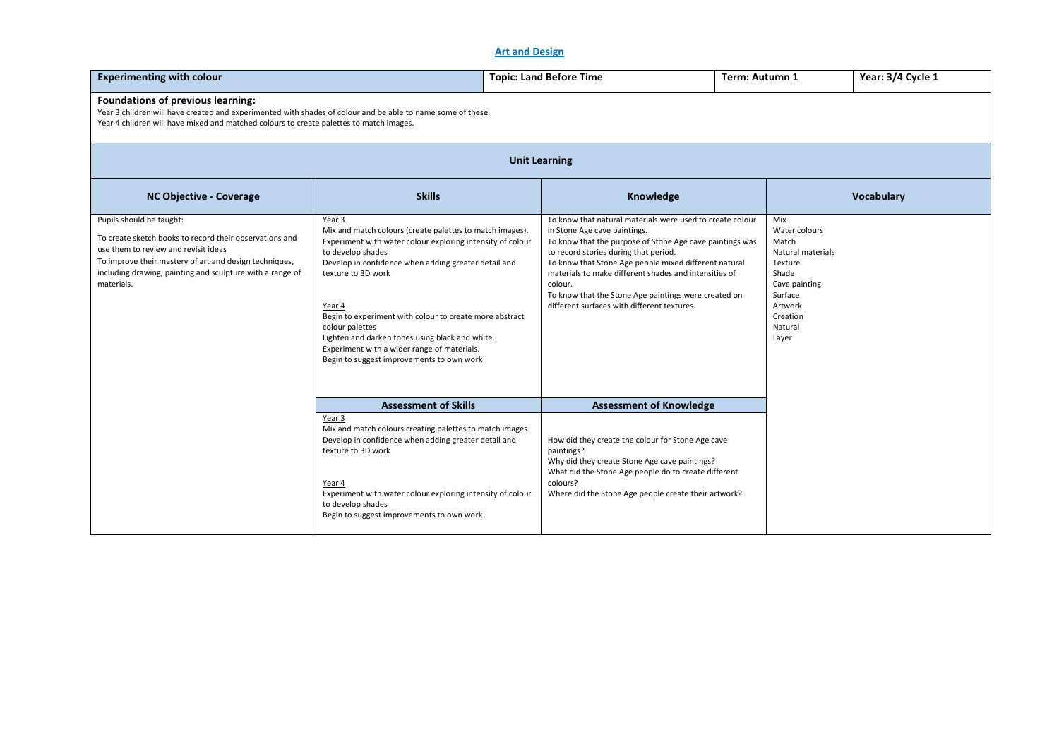# **Art and Design**

| <b>Experimenting with colour</b>                                                                                                                                                                                                                                 |                                                                                                                                                                                                                                                                                                                                                                                                                                                                            | <b>Topic: Land Before Time</b><br>Term: Autumn 1                                                                                                                                                                                                                                                                                                                                                                                   |  |                                                                                                                                               | Year: 3/4 Cycle 1 |  |  |
|------------------------------------------------------------------------------------------------------------------------------------------------------------------------------------------------------------------------------------------------------------------|----------------------------------------------------------------------------------------------------------------------------------------------------------------------------------------------------------------------------------------------------------------------------------------------------------------------------------------------------------------------------------------------------------------------------------------------------------------------------|------------------------------------------------------------------------------------------------------------------------------------------------------------------------------------------------------------------------------------------------------------------------------------------------------------------------------------------------------------------------------------------------------------------------------------|--|-----------------------------------------------------------------------------------------------------------------------------------------------|-------------------|--|--|
| <b>Foundations of previous learning:</b><br>Year 3 children will have created and experimented with shades of colour and be able to name some of these.<br>Year 4 children will have mixed and matched colours to create palettes to match images.               |                                                                                                                                                                                                                                                                                                                                                                                                                                                                            |                                                                                                                                                                                                                                                                                                                                                                                                                                    |  |                                                                                                                                               |                   |  |  |
| <b>Unit Learning</b>                                                                                                                                                                                                                                             |                                                                                                                                                                                                                                                                                                                                                                                                                                                                            |                                                                                                                                                                                                                                                                                                                                                                                                                                    |  |                                                                                                                                               |                   |  |  |
| <b>NC Objective - Coverage</b>                                                                                                                                                                                                                                   | <b>Skills</b>                                                                                                                                                                                                                                                                                                                                                                                                                                                              | Knowledge                                                                                                                                                                                                                                                                                                                                                                                                                          |  |                                                                                                                                               | Vocabulary        |  |  |
| Pupils should be taught:<br>To create sketch books to record their observations and<br>use them to review and revisit ideas<br>To improve their mastery of art and design techniques,<br>including drawing, painting and sculpture with a range of<br>materials. | Year 3<br>Mix and match colours (create palettes to match images).<br>Experiment with water colour exploring intensity of colour<br>to develop shades<br>Develop in confidence when adding greater detail and<br>texture to 3D work<br>Year 4<br>Begin to experiment with colour to create more abstract<br>colour palettes<br>Lighten and darken tones using black and white.<br>Experiment with a wider range of materials.<br>Begin to suggest improvements to own work | To know that natural materials were used to create colour<br>in Stone Age cave paintings.<br>To know that the purpose of Stone Age cave paintings was<br>to record stories during that period.<br>To know that Stone Age people mixed different natural<br>materials to make different shades and intensities of<br>colour.<br>To know that the Stone Age paintings were created on<br>different surfaces with different textures. |  | Mix<br>Water colours<br>Match<br>Natural materials<br>Texture<br>Shade<br>Cave painting<br>Surface<br>Artwork<br>Creation<br>Natural<br>Layer |                   |  |  |
|                                                                                                                                                                                                                                                                  | <b>Assessment of Skills</b>                                                                                                                                                                                                                                                                                                                                                                                                                                                | <b>Assessment of Knowledge</b>                                                                                                                                                                                                                                                                                                                                                                                                     |  |                                                                                                                                               |                   |  |  |
|                                                                                                                                                                                                                                                                  | Year 3<br>Mix and match colours creating palettes to match images<br>Develop in confidence when adding greater detail and<br>texture to 3D work<br>Year 4<br>Experiment with water colour exploring intensity of colour<br>to develop shades<br>Begin to suggest improvements to own work                                                                                                                                                                                  | How did they create the colour for Stone Age cave<br>paintings?<br>Why did they create Stone Age cave paintings?<br>What did the Stone Age people do to create different<br>colours?<br>Where did the Stone Age people create their artwork?                                                                                                                                                                                       |  |                                                                                                                                               |                   |  |  |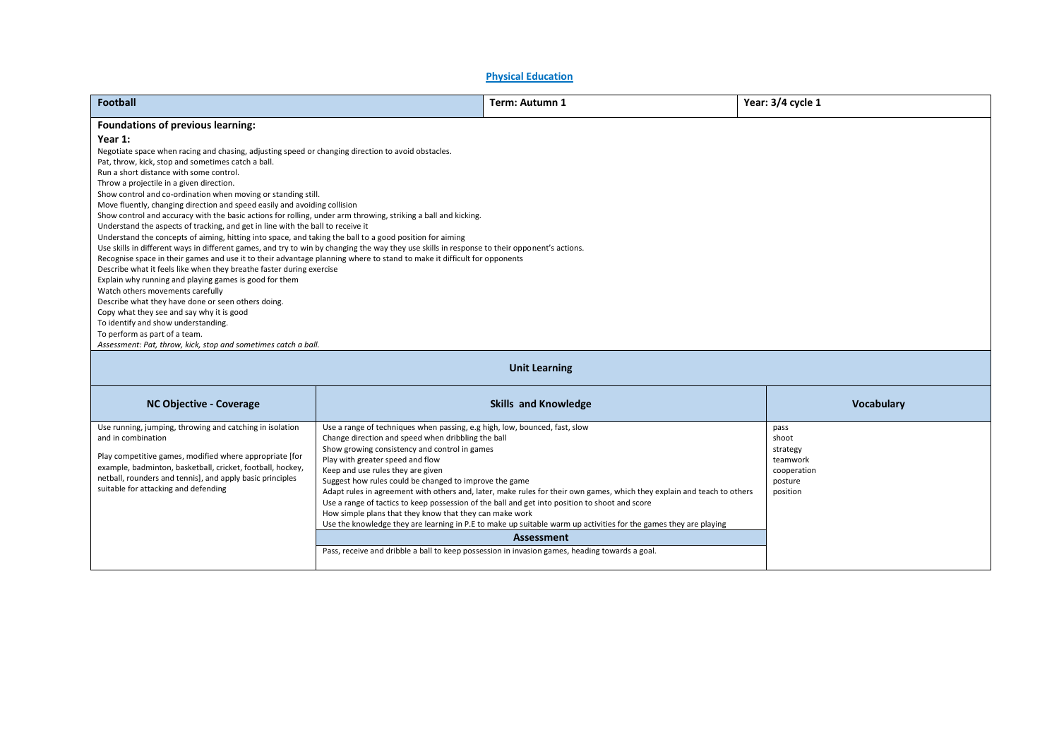| <b>Physical Education</b>                                                                                                                                                                                                                                                                                                                                                                                                                                                                                                                                                                                                                                                                                                                                                                                                                                                                                                                                                                                                                                                                                                                                                                                                                                                                                                               |                                                                                                                                                                                                                                                                                                                                                                                                                                                                                                                                                                                                                                                                                                                                                |                                                                             |  |  |  |  |  |
|-----------------------------------------------------------------------------------------------------------------------------------------------------------------------------------------------------------------------------------------------------------------------------------------------------------------------------------------------------------------------------------------------------------------------------------------------------------------------------------------------------------------------------------------------------------------------------------------------------------------------------------------------------------------------------------------------------------------------------------------------------------------------------------------------------------------------------------------------------------------------------------------------------------------------------------------------------------------------------------------------------------------------------------------------------------------------------------------------------------------------------------------------------------------------------------------------------------------------------------------------------------------------------------------------------------------------------------------|------------------------------------------------------------------------------------------------------------------------------------------------------------------------------------------------------------------------------------------------------------------------------------------------------------------------------------------------------------------------------------------------------------------------------------------------------------------------------------------------------------------------------------------------------------------------------------------------------------------------------------------------------------------------------------------------------------------------------------------------|-----------------------------------------------------------------------------|--|--|--|--|--|
| <b>Football</b>                                                                                                                                                                                                                                                                                                                                                                                                                                                                                                                                                                                                                                                                                                                                                                                                                                                                                                                                                                                                                                                                                                                                                                                                                                                                                                                         | Term: Autumn 1                                                                                                                                                                                                                                                                                                                                                                                                                                                                                                                                                                                                                                                                                                                                 |                                                                             |  |  |  |  |  |
| Year: 3/4 cycle 1<br>Foundations of previous learning:<br>Year 1:<br>Negotiate space when racing and chasing, adjusting speed or changing direction to avoid obstacles.<br>Pat, throw, kick, stop and sometimes catch a ball.<br>Run a short distance with some control.<br>Throw a projectile in a given direction.<br>Show control and co-ordination when moving or standing still.<br>Move fluently, changing direction and speed easily and avoiding collision<br>Show control and accuracy with the basic actions for rolling, under arm throwing, striking a ball and kicking.<br>Understand the aspects of tracking, and get in line with the ball to receive it<br>Understand the concepts of aiming, hitting into space, and taking the ball to a good position for aiming<br>Use skills in different ways in different games, and try to win by changing the way they use skills in response to their opponent's actions.<br>Recognise space in their games and use it to their advantage planning where to stand to make it difficult for opponents<br>Describe what it feels like when they breathe faster during exercise<br>Explain why running and playing games is good for them<br>Watch others movements carefully<br>Describe what they have done or seen others doing.<br>Copy what they see and say why it is good |                                                                                                                                                                                                                                                                                                                                                                                                                                                                                                                                                                                                                                                                                                                                                |                                                                             |  |  |  |  |  |
| To identify and show understanding.<br>To perform as part of a team.<br>Assessment: Pat, throw, kick, stop and sometimes catch a ball.                                                                                                                                                                                                                                                                                                                                                                                                                                                                                                                                                                                                                                                                                                                                                                                                                                                                                                                                                                                                                                                                                                                                                                                                  |                                                                                                                                                                                                                                                                                                                                                                                                                                                                                                                                                                                                                                                                                                                                                |                                                                             |  |  |  |  |  |
| <b>Unit Learning</b>                                                                                                                                                                                                                                                                                                                                                                                                                                                                                                                                                                                                                                                                                                                                                                                                                                                                                                                                                                                                                                                                                                                                                                                                                                                                                                                    |                                                                                                                                                                                                                                                                                                                                                                                                                                                                                                                                                                                                                                                                                                                                                |                                                                             |  |  |  |  |  |
| <b>NC Objective - Coverage</b>                                                                                                                                                                                                                                                                                                                                                                                                                                                                                                                                                                                                                                                                                                                                                                                                                                                                                                                                                                                                                                                                                                                                                                                                                                                                                                          | <b>Skills and Knowledge</b>                                                                                                                                                                                                                                                                                                                                                                                                                                                                                                                                                                                                                                                                                                                    | Vocabulary                                                                  |  |  |  |  |  |
| Use running, jumping, throwing and catching in isolation<br>and in combination<br>Play competitive games, modified where appropriate [for<br>example, badminton, basketball, cricket, football, hockey,<br>netball, rounders and tennis], and apply basic principles<br>suitable for attacking and defending                                                                                                                                                                                                                                                                                                                                                                                                                                                                                                                                                                                                                                                                                                                                                                                                                                                                                                                                                                                                                            | Use a range of techniques when passing, e.g high, low, bounced, fast, slow<br>Change direction and speed when dribbling the ball<br>Show growing consistency and control in games<br>Play with greater speed and flow<br>Keep and use rules they are given<br>Suggest how rules could be changed to improve the game<br>Adapt rules in agreement with others and, later, make rules for their own games, which they explain and teach to others<br>Use a range of tactics to keep possession of the ball and get into position to shoot and score<br>How simple plans that they know that they can make work<br>Use the knowledge they are learning in P.E to make up suitable warm up activities for the games they are playing<br>Assessment | pass<br>shoot<br>strategy<br>teamwork<br>cooperation<br>posture<br>position |  |  |  |  |  |
|                                                                                                                                                                                                                                                                                                                                                                                                                                                                                                                                                                                                                                                                                                                                                                                                                                                                                                                                                                                                                                                                                                                                                                                                                                                                                                                                         | Pass, receive and dribble a ball to keep possession in invasion games, heading towards a goal.                                                                                                                                                                                                                                                                                                                                                                                                                                                                                                                                                                                                                                                 |                                                                             |  |  |  |  |  |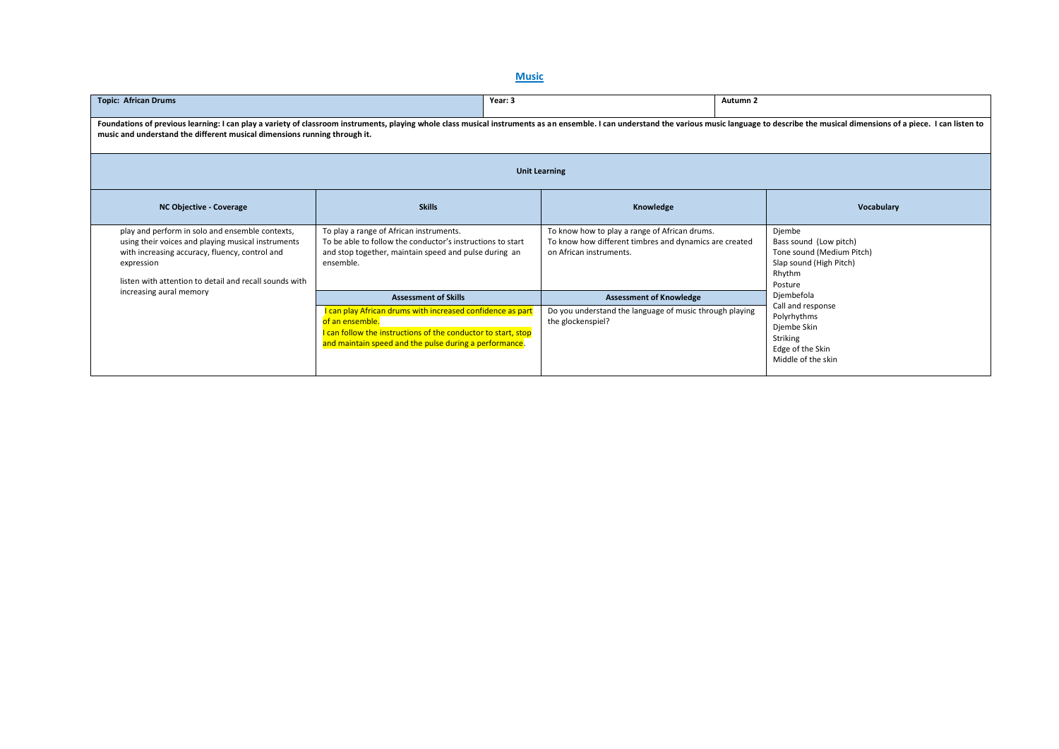# **Music**

| <b>Topic: African Drums</b>                                                                                                                                                                                                                                                                                 | Year: 3                                                                                                                                                                                                  |                                                                                                                                    | Autumn <sub>2</sub>                                                                                           |  |  |  |  |
|-------------------------------------------------------------------------------------------------------------------------------------------------------------------------------------------------------------------------------------------------------------------------------------------------------------|----------------------------------------------------------------------------------------------------------------------------------------------------------------------------------------------------------|------------------------------------------------------------------------------------------------------------------------------------|---------------------------------------------------------------------------------------------------------------|--|--|--|--|
| Foundations of previous learning: I can play a variety of classroom instruments, playing whole class musical instruments as an ensemble. I can understand the various music language to describe the musical dimensions of a p<br>music and understand the different musical dimensions running through it. |                                                                                                                                                                                                          |                                                                                                                                    |                                                                                                               |  |  |  |  |
| <b>Unit Learning</b>                                                                                                                                                                                                                                                                                        |                                                                                                                                                                                                          |                                                                                                                                    |                                                                                                               |  |  |  |  |
| <b>NC Objective - Coverage</b>                                                                                                                                                                                                                                                                              | <b>Skills</b>                                                                                                                                                                                            | Knowledge                                                                                                                          | Vocabulary                                                                                                    |  |  |  |  |
| play and perform in solo and ensemble contexts,<br>using their voices and playing musical instruments<br>with increasing accuracy, fluency, control and<br>expression<br>listen with attention to detail and recall sounds with<br>increasing aural memory                                                  | To play a range of African instruments.<br>To be able to follow the conductor's instructions to start<br>and stop together, maintain speed and pulse during an<br>ensemble.                              | To know how to play a range of African drums.<br>To know how different timbres and dynamics are created<br>on African instruments. | Djembe<br>Bass sound (Low pitch)<br>Tone sound (Medium Pitch)<br>Slap sound (High Pitch)<br>Rhythm<br>Posture |  |  |  |  |
|                                                                                                                                                                                                                                                                                                             | <b>Assessment of Skills</b>                                                                                                                                                                              | <b>Assessment of Knowledge</b>                                                                                                     | Djembefola                                                                                                    |  |  |  |  |
|                                                                                                                                                                                                                                                                                                             | I can play African drums with increased confidence as part<br>of an ensemble.<br>I can follow the instructions of the conductor to start, stop<br>and maintain speed and the pulse during a performance. | Do you understand the language of music through playing<br>the glockenspiel?                                                       | Call and response<br>Polyrhythms<br>Djembe Skin<br>Striking<br>Edge of the Skin<br>Middle of the skin         |  |  |  |  |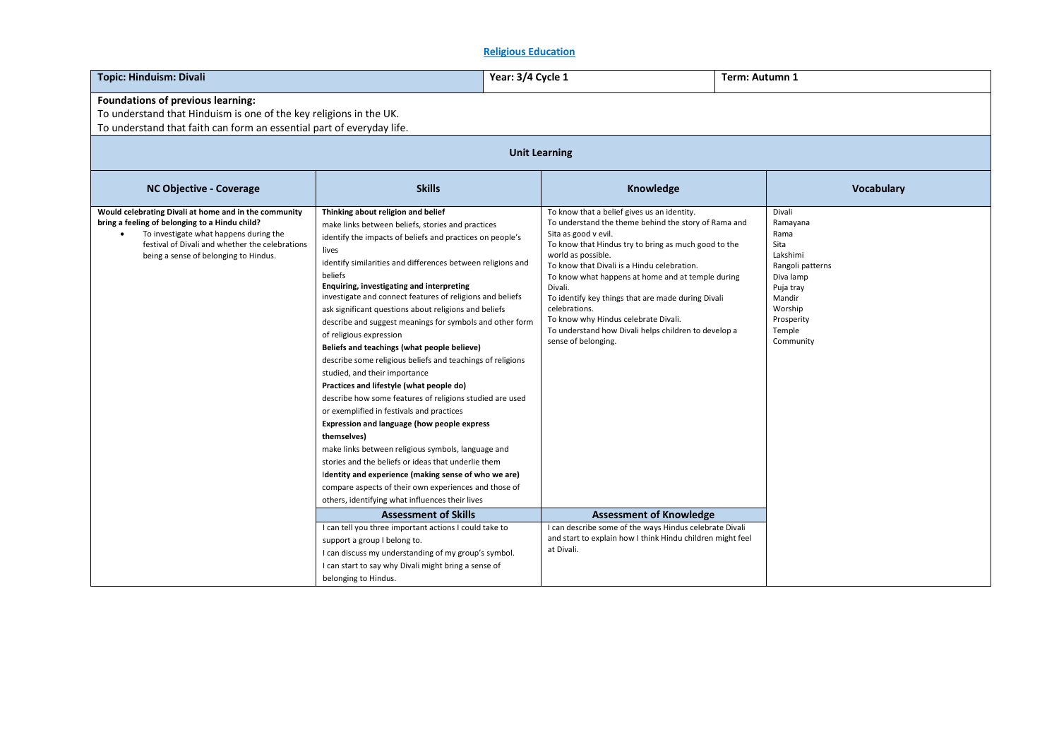# **Religious Education**

| <b>Topic: Hinduism: Divali</b>                                                                                                                                                                                                                             |                                                                                                                                                                                                                                                                                                                                                                                                                                                                                                                                                                                                                                                                                                                                                                                                                                                                                                                                                                                                                                                                                                                                                                                    | Year: 3/4 Cycle 1<br>Term: Autumn 1 |                                                                                                                                                                                                                                                                                                                                                                                                                                                                                                                                                          |  |                                                                                                                                                        |  |  |
|------------------------------------------------------------------------------------------------------------------------------------------------------------------------------------------------------------------------------------------------------------|------------------------------------------------------------------------------------------------------------------------------------------------------------------------------------------------------------------------------------------------------------------------------------------------------------------------------------------------------------------------------------------------------------------------------------------------------------------------------------------------------------------------------------------------------------------------------------------------------------------------------------------------------------------------------------------------------------------------------------------------------------------------------------------------------------------------------------------------------------------------------------------------------------------------------------------------------------------------------------------------------------------------------------------------------------------------------------------------------------------------------------------------------------------------------------|-------------------------------------|----------------------------------------------------------------------------------------------------------------------------------------------------------------------------------------------------------------------------------------------------------------------------------------------------------------------------------------------------------------------------------------------------------------------------------------------------------------------------------------------------------------------------------------------------------|--|--------------------------------------------------------------------------------------------------------------------------------------------------------|--|--|
| Foundations of previous learning:<br>To understand that Hinduism is one of the key religions in the UK.<br>To understand that faith can form an essential part of everyday life.                                                                           |                                                                                                                                                                                                                                                                                                                                                                                                                                                                                                                                                                                                                                                                                                                                                                                                                                                                                                                                                                                                                                                                                                                                                                                    |                                     |                                                                                                                                                                                                                                                                                                                                                                                                                                                                                                                                                          |  |                                                                                                                                                        |  |  |
| <b>Unit Learning</b>                                                                                                                                                                                                                                       |                                                                                                                                                                                                                                                                                                                                                                                                                                                                                                                                                                                                                                                                                                                                                                                                                                                                                                                                                                                                                                                                                                                                                                                    |                                     |                                                                                                                                                                                                                                                                                                                                                                                                                                                                                                                                                          |  |                                                                                                                                                        |  |  |
| <b>NC Objective - Coverage</b>                                                                                                                                                                                                                             | <b>Skills</b>                                                                                                                                                                                                                                                                                                                                                                                                                                                                                                                                                                                                                                                                                                                                                                                                                                                                                                                                                                                                                                                                                                                                                                      |                                     | Knowledge                                                                                                                                                                                                                                                                                                                                                                                                                                                                                                                                                |  | <b>Vocabulary</b>                                                                                                                                      |  |  |
| Would celebrating Divali at home and in the community<br>bring a feeling of belonging to a Hindu child?<br>To investigate what happens during the<br>$\bullet$<br>festival of Divali and whether the celebrations<br>being a sense of belonging to Hindus. | Thinking about religion and belief<br>make links between beliefs, stories and practices<br>identify the impacts of beliefs and practices on people's<br>lives<br>identify similarities and differences between religions and<br>beliefs<br>Enquiring, investigating and interpreting<br>investigate and connect features of religions and beliefs<br>ask significant questions about religions and beliefs<br>describe and suggest meanings for symbols and other form<br>of religious expression<br>Beliefs and teachings (what people believe)<br>describe some religious beliefs and teachings of religions<br>studied, and their importance<br>Practices and lifestyle (what people do)<br>describe how some features of religions studied are used<br>or exemplified in festivals and practices<br>Expression and language (how people express<br>themselves)<br>make links between religious symbols, language and<br>stories and the beliefs or ideas that underlie them<br>Identity and experience (making sense of who we are)<br>compare aspects of their own experiences and those of<br>others, identifying what influences their lives<br><b>Assessment of Skills</b> |                                     | To know that a belief gives us an identity.<br>To understand the theme behind the story of Rama and<br>Sita as good v evil.<br>To know that Hindus try to bring as much good to the<br>world as possible.<br>To know that Divali is a Hindu celebration.<br>To know what happens at home and at temple during<br>Divali.<br>To identify key things that are made during Divali<br>celebrations.<br>To know why Hindus celebrate Divali.<br>To understand how Divali helps children to develop a<br>sense of belonging.<br><b>Assessment of Knowledge</b> |  | Divali<br>Ramayana<br>Rama<br>Sita<br>Lakshimi<br>Rangoli patterns<br>Diva lamp<br>Puja tray<br>Mandir<br>Worship<br>Prosperity<br>Temple<br>Community |  |  |
|                                                                                                                                                                                                                                                            | I can tell you three important actions I could take to<br>support a group I belong to.<br>I can discuss my understanding of my group's symbol.                                                                                                                                                                                                                                                                                                                                                                                                                                                                                                                                                                                                                                                                                                                                                                                                                                                                                                                                                                                                                                     |                                     | I can describe some of the ways Hindus celebrate Divali<br>and start to explain how I think Hindu children might feel<br>at Divali.                                                                                                                                                                                                                                                                                                                                                                                                                      |  |                                                                                                                                                        |  |  |
|                                                                                                                                                                                                                                                            | I can start to say why Divali might bring a sense of<br>belonging to Hindus.                                                                                                                                                                                                                                                                                                                                                                                                                                                                                                                                                                                                                                                                                                                                                                                                                                                                                                                                                                                                                                                                                                       |                                     |                                                                                                                                                                                                                                                                                                                                                                                                                                                                                                                                                          |  |                                                                                                                                                        |  |  |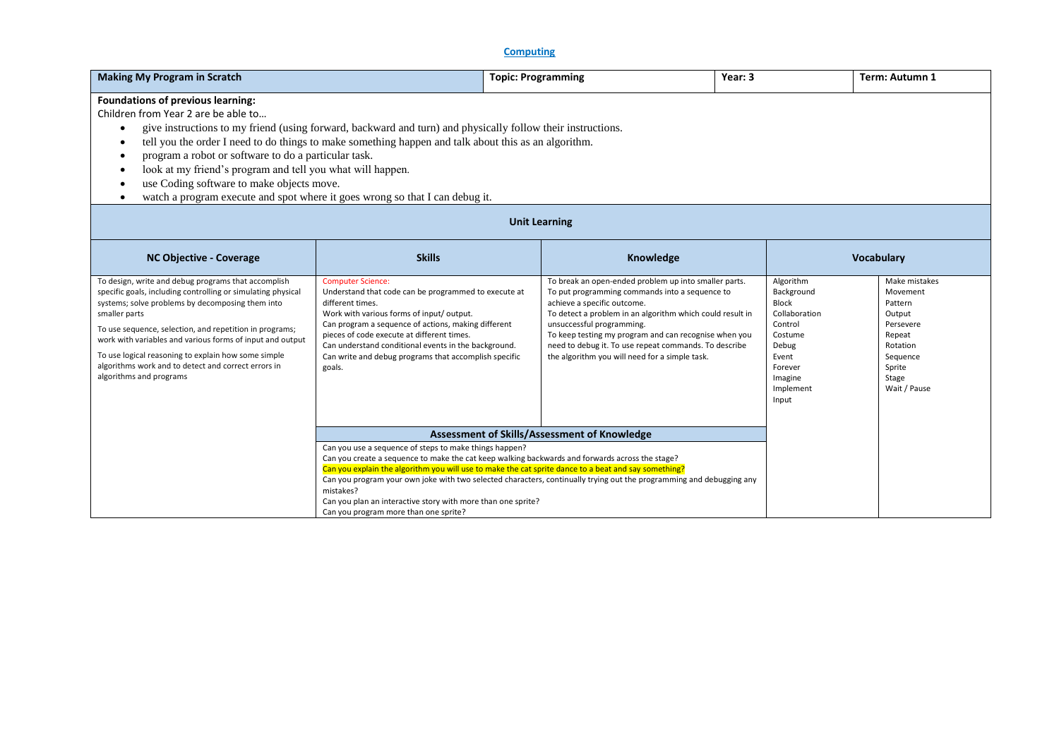# **Computing**

| <b>Making My Program in Scratch</b>                                                                                                                                                                                                                                                                                                                                                                                                                                                                                                                                                                                   | Year: 3                                                                                                                                                                                                                                                                                                                                                                                                                                                                                                                | Term: Autumn 1                                                                                                                                                                                                                                                                                                                                                                                       |                                                                                                                                              |                                                                                                                                  |  |
|-----------------------------------------------------------------------------------------------------------------------------------------------------------------------------------------------------------------------------------------------------------------------------------------------------------------------------------------------------------------------------------------------------------------------------------------------------------------------------------------------------------------------------------------------------------------------------------------------------------------------|------------------------------------------------------------------------------------------------------------------------------------------------------------------------------------------------------------------------------------------------------------------------------------------------------------------------------------------------------------------------------------------------------------------------------------------------------------------------------------------------------------------------|------------------------------------------------------------------------------------------------------------------------------------------------------------------------------------------------------------------------------------------------------------------------------------------------------------------------------------------------------------------------------------------------------|----------------------------------------------------------------------------------------------------------------------------------------------|----------------------------------------------------------------------------------------------------------------------------------|--|
| <b>Foundations of previous learning:</b><br>Children from Year 2 are be able to<br>give instructions to my friend (using forward, backward and turn) and physically follow their instructions.<br>tell you the order I need to do things to make something happen and talk about this as an algorithm.<br>program a robot or software to do a particular task.<br>٠<br>look at my friend's program and tell you what will happen.<br>$\bullet$<br>use Coding software to make objects move.<br>٠<br>watch a program execute and spot where it goes wrong so that I can debug it.<br>$\bullet$<br><b>Unit Learning</b> |                                                                                                                                                                                                                                                                                                                                                                                                                                                                                                                        |                                                                                                                                                                                                                                                                                                                                                                                                      |                                                                                                                                              |                                                                                                                                  |  |
| <b>NC Objective - Coverage</b>                                                                                                                                                                                                                                                                                                                                                                                                                                                                                                                                                                                        | <b>Skills</b>                                                                                                                                                                                                                                                                                                                                                                                                                                                                                                          | Knowledge                                                                                                                                                                                                                                                                                                                                                                                            |                                                                                                                                              | <b>Vocabulary</b>                                                                                                                |  |
| To design, write and debug programs that accomplish<br>specific goals, including controlling or simulating physical<br>systems; solve problems by decomposing them into<br>smaller parts<br>To use sequence, selection, and repetition in programs;<br>work with variables and various forms of input and output<br>To use logical reasoning to explain how some simple<br>algorithms work and to detect and correct errors in<br>algorithms and programs                                                                                                                                                             | <b>Computer Science:</b><br>Understand that code can be programmed to execute at<br>different times.<br>Work with various forms of input/ output.<br>Can program a sequence of actions, making different<br>pieces of code execute at different times.<br>Can understand conditional events in the background.<br>Can write and debug programs that accomplish specific<br>goals.                                                                                                                                      | To break an open-ended problem up into smaller parts.<br>To put programming commands into a sequence to<br>achieve a specific outcome.<br>To detect a problem in an algorithm which could result in<br>unsuccessful programming.<br>To keep testing my program and can recognise when you<br>need to debug it. To use repeat commands. To describe<br>the algorithm you will need for a simple task. | Algorithm<br>Background<br><b>Block</b><br>Collaboration<br>Control<br>Costume<br>Debug<br>Event<br>Forever<br>Imagine<br>Implement<br>Input | Make mistakes<br>Movement<br>Pattern<br>Output<br>Persevere<br>Repeat<br>Rotation<br>Sequence<br>Sprite<br>Stage<br>Wait / Pause |  |
|                                                                                                                                                                                                                                                                                                                                                                                                                                                                                                                                                                                                                       | Assessment of Skills/Assessment of Knowledge<br>Can you use a sequence of steps to make things happen?<br>Can you create a sequence to make the cat keep walking backwards and forwards across the stage?<br>Can you explain the algorithm you will use to make the cat sprite dance to a beat and say something?<br>Can you program your own joke with two selected characters, continually trying out the programming and debugging any<br>mistakes?<br>Can you plan an interactive story with more than one sprite? |                                                                                                                                                                                                                                                                                                                                                                                                      |                                                                                                                                              |                                                                                                                                  |  |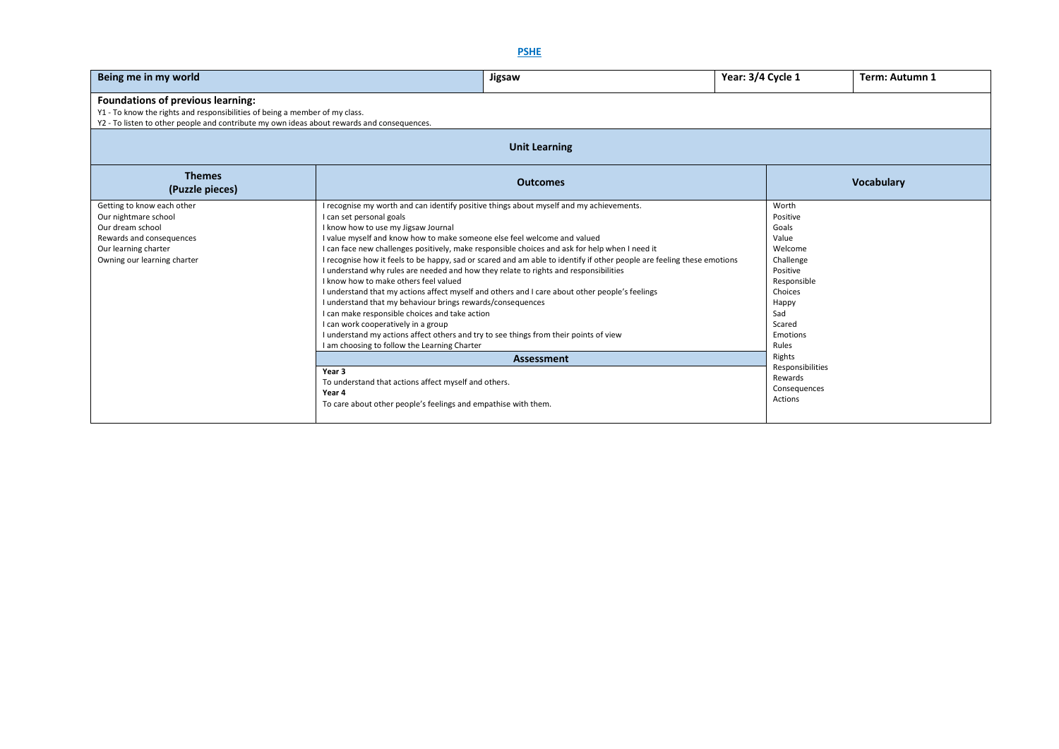| Being me in my world                                                                                                                                                                                           | Jigsaw                                                                                                                                                                                                                                                                                                                                                                                                                                                                                                                                                                                                                                                                                                                                                                                                                                                                                                                                                                                                                                                                                                                                                                   | Year: 3/4 Cycle 1                                                                                                                                                                                                    | Term: Autumn 1    |  |  |  |  |  |
|----------------------------------------------------------------------------------------------------------------------------------------------------------------------------------------------------------------|--------------------------------------------------------------------------------------------------------------------------------------------------------------------------------------------------------------------------------------------------------------------------------------------------------------------------------------------------------------------------------------------------------------------------------------------------------------------------------------------------------------------------------------------------------------------------------------------------------------------------------------------------------------------------------------------------------------------------------------------------------------------------------------------------------------------------------------------------------------------------------------------------------------------------------------------------------------------------------------------------------------------------------------------------------------------------------------------------------------------------------------------------------------------------|----------------------------------------------------------------------------------------------------------------------------------------------------------------------------------------------------------------------|-------------------|--|--|--|--|--|
| Foundations of previous learning:<br>Y1 - To know the rights and responsibilities of being a member of my class.<br>Y2 - To listen to other people and contribute my own ideas about rewards and consequences. |                                                                                                                                                                                                                                                                                                                                                                                                                                                                                                                                                                                                                                                                                                                                                                                                                                                                                                                                                                                                                                                                                                                                                                          |                                                                                                                                                                                                                      |                   |  |  |  |  |  |
|                                                                                                                                                                                                                | <b>Unit Learning</b>                                                                                                                                                                                                                                                                                                                                                                                                                                                                                                                                                                                                                                                                                                                                                                                                                                                                                                                                                                                                                                                                                                                                                     |                                                                                                                                                                                                                      |                   |  |  |  |  |  |
| <b>Themes</b><br>(Puzzle pieces)                                                                                                                                                                               | <b>Outcomes</b>                                                                                                                                                                                                                                                                                                                                                                                                                                                                                                                                                                                                                                                                                                                                                                                                                                                                                                                                                                                                                                                                                                                                                          |                                                                                                                                                                                                                      | <b>Vocabulary</b> |  |  |  |  |  |
| Getting to know each other<br>Our nightmare school<br>Our dream school<br>Rewards and consequences<br>Our learning charter<br>Owning our learning charter                                                      | I recognise my worth and can identify positive things about myself and my achievements.<br>I can set personal goals<br>I know how to use my Jigsaw Journal<br>I value myself and know how to make someone else feel welcome and valued<br>I can face new challenges positively, make responsible choices and ask for help when I need it<br>I recognise how it feels to be happy, sad or scared and am able to identify if other people are feeling these emotions<br>I understand why rules are needed and how they relate to rights and responsibilities<br>I know how to make others feel valued<br>I understand that my actions affect myself and others and I care about other people's feelings<br>I understand that my behaviour brings rewards/consequences<br>I can make responsible choices and take action<br>I can work cooperatively in a group<br>I understand my actions affect others and try to see things from their points of view<br>I am choosing to follow the Learning Charter<br><b>Assessment</b><br>Year 3<br>To understand that actions affect myself and others.<br>Year 4<br>To care about other people's feelings and empathise with them. | Worth<br>Positive<br>Goals<br>Value<br>Welcome<br>Challenge<br>Positive<br>Responsible<br>Choices<br>Happy<br>Sad<br>Scared<br>Emotions<br>Rules<br>Rights<br>Responsibilities<br>Rewards<br>Consequences<br>Actions |                   |  |  |  |  |  |